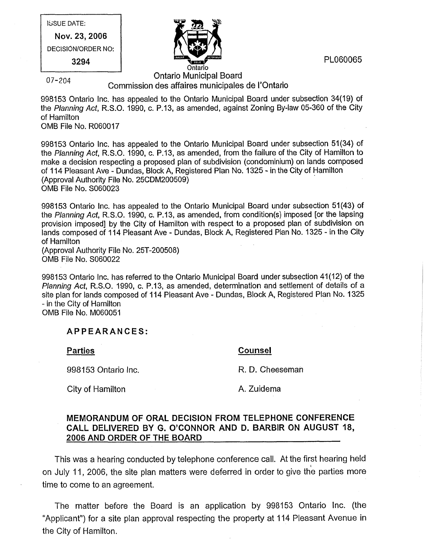ISSUE DATE: Nov. 23, 2006 DECISION/ORDER NO: 3294



PL060065

## Ontario Municipal Board<br>07-204 Commission des affaires municipales de I'Ontario

998153 Ontario Inc. has appealed to the Ontario Municipal Board under subsection 34(19) of the Planning Act, R.S.O. 1990, c. P.13, as amended, against Zoning By-law 05-360 of the City of Hamilton OMB File No. R060017

998153 Ontario Inc. has appealed to the Ontario Municipal Board under subsection 51(34) of the Planning Act, R.S.O. 1990, c. P.13, as amended, from the failure of the City of Hamilton to make a decision respecting a proposed plan of subdivision (condominium) on lands composed of 114 Pleasant Ave - Dundas, Block A, Registered Plan No. 1325 - in the City of Hamilton (Approval Authority File No. 25CDM200509) OMB File No. S060023

998153 Ontario Inc. has appealed to the Ontario Municipal Board under subsection 51(43) of the Planning Act, R.S.O. 1990, c. P.13, as amended, from condition(s) imposed [or the lapsing provision imposed] by the City of Hamilton with respect to a proposed plan of subdivision on lands composed of 114 Pleasant Ave - Dundas, Block A, Registered Plan No. 1325 - in the City of Hamilton (Approval Authority File No. 25T-200508)

OMB File No. S060022

998153 Ontario Inc. has referred to the Ontario Municipal Board under subsection 41(12) of the Planning Act, R.S.O. 1990, c. P.13, as amended, determination and settlement of details of a site plan for lands composed of 114 Pleasant Ave - Dundas, Block A, Registered Plan No. 1325 - in the City of Hamilton OMB File No. M060051

## APPEARANCES:

**Parties Counsel** 

998153 Ontario Inc. **R. D. Cheeseman** 

City of Hamilton **A. Zuidema** 

# MEMORANDUM OF ORAL DECISION FROM TELEPHONE CONFERENCE CALL DELIVERED BY G. O'CONNOR AND D. BARBIR ON AUGUST 18, 2006 AND ORDER OF THE BOARD

This was a hearing conducted by telephone conference call. At the first hearing held on July 11, 2006, the site plan matters were deferred in order to give the parties more time to come to an agreement.

The matter before the Board is an application by 998153 Ontario Inc. (the "Applicant") for a site plan approval respecting the property at 114 Pleasant Avenue in the City of Hamilton.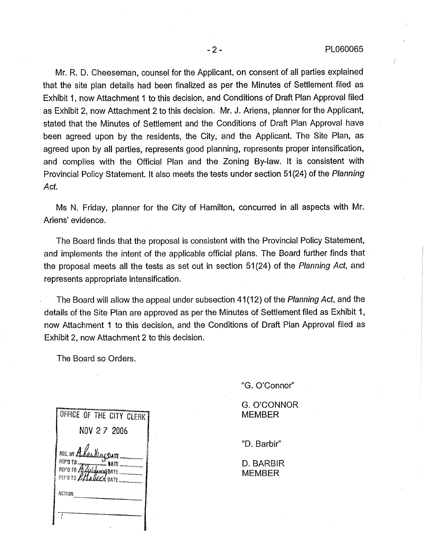Mr. R. D. Cheeseman, counsel for the Applicant, on consent of all parties explained that the site plan details had been finalized as per the Minutes of Settlement filed as Exhibit 1, now Attachment 1 to this decision, and Conditions of Draft Plan Approval filed as Exhibit 2, now Attachment 2 to this decision. Mr. J. Ariens, planner for the Applicant, stated that the Minutes of Settlement and the Conditions of Draft Plan Approval have been agreed upon by the residents, the City, and the Applicant. The Site Plan, as agreed upon by all parties, represents good planning, represents proper intensification, and complies with the Official Plan and the Zoning By-law. It is consistent with Provincial Policy Statement. It also meets the tests under section 51(24) of the Planning Act.

Ms N. Friday, planner for the City of Hamilton, concurred in all aspects with Mr. Ariens' evidence.

The Board finds that the proposal is consistent with the Provincial Policy Statement, and implements the intent of the applicable official plans. The Board further finds that the proposal meets all the tests as set out in section 51(24) of the Planning Act, and represents appropriate intensification.

The Board will allow the appeal under subsection 41(12) of the Planning Act, and the details of the Site Plan are approved as per the Minutes of Settlement filed as Exhibit 1, now Attachment 1 to this decision, and the Conditions of Draft Plan Approval filed as Exhibit 2, now Attachment 2 to this decision.

The Board so Orders.

"G. O'Connor"

G. O'CONNOR MEMBER

"D. Barbir"

D. BARBIR MEMBER

| OFFICE OF THE CITY CLERK |
|--------------------------|
| NOV 2 7 2006             |
|                          |
|                          |
|                          |
|                          |
|                          |
| ACTION:                  |
|                          |
|                          |
|                          |
|                          |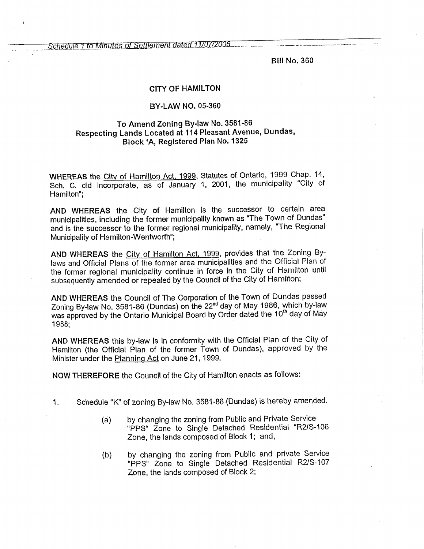Schedule 1 to Minutes of Settlement dated 11/07/2006.

Bill No, 360

### CITY OF HAMILTON

### BY-LAW NO. 05-360

### To Amend Zoning By-law No. 3581-86 Respecting Lands Located at 114 Pleasant Avenue, Dundas, Block 'A, Registered Plan No. 1325

WHEREAS the City of Hamilton Act, 1999, Statutes of Ontario, 1999 Chap. 14, Sch. C. did incorporate, as of January 1, 2001, the municipality "City of Hamilton";

AND WHEREAS the City of Hamilton is the successor to certain area municipalities, including the former municipality known as "The Town of Dundas" and is the successor to the former regional municipality, namely, "The Regional Municipality of Hamilton-Wentworth";

AND WHEREAS the City of Hamilton Act, 1999, provides that the Zoning Bylaws and Official Plans of the former area municipalities and the Official Plan of the former regional municipality continue in force in the City of Hamilton until subsequently amended or repealed by the Council of the City of Hamilton;

AND WHEREAS the Council of The Corporation of the Town of Dundas passed Zoning By-law No. 3581-86 (Dundas) on the 22nd day of May 1986, which by-law was approved by the Ontario Municipal Board by Order dated the 10<sup>th</sup> day of May 1988;

AND WHEREAS this by-law is in conformity with the Official Plan of the City of Hamilton (the Official Plan of the former Town of Dundas), approved by the Minister under the Planning Act on June 21, 1999.

NOW THEREFORE the Council of the City of Hamilton enacts as follows:

- Schedule "K" of zoning By-law No. 3581-86 (Dundas) is hereby amended.  $1.$ 
	- (a) by changing the zoning from Public and Private Service "PPS" Zone to Single Detached Residential "R2/S-106 Zone, the lands composed of Block 1; and,
	- (b) by changing the zoning from Public and private Service "PPS" Zone to Single Detached Residential R2/S-107 Zone, the lands composed of Block 2;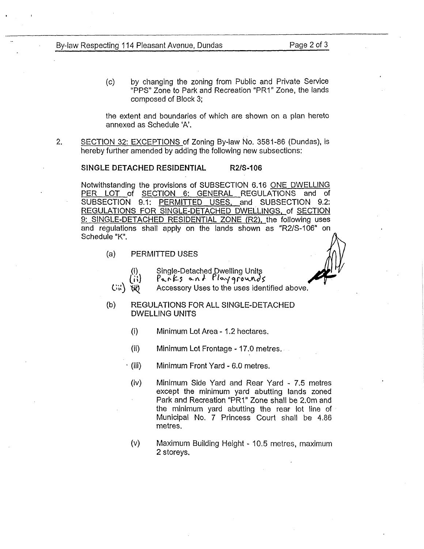(c) by changing the zoning from Public and Private Service "PPS" Zone to Park and Recreation "PRI" Zone, the lands composed of Block 3;

the extent and boundaries of which are shown on a plan hereto annexed as Schedule 'A'.

, SECTION 32: EXCEPTIONS of Zoning By-law No. 3581-86 (Dundas), is hereby further amended by adding the following new subsections:

#### SINGLE DETACHED RESIDENTIAL R2/S-106

Notwithstanding the provisions of SUBSECTION 6.16 ONE DWELLING PER LOT of SECTION 6: GENERAL REGULATIONS and of SUBSECTION 9.1: PERMITTED USES, and SUBSECTION 9.2: REGULATIONS FOR SINGLE-DETACHED DWELLINGS, of SECTION 9: SINGLE-DETACHED RESIDENTIAL ZONE (R2), the following uses and regulations shall apply on the lands shown as "R2/S-106" on Schedule "K".

(a) PERMITTED USES

 $\text{GW}$ 

- 
- 

ti) Single-Detached Dwelling Units<br>(ii)  $\begin{cases} P_{\alpha} \wedge F_5 & \alpha \wedge F_1 \wedge P_2 \wedge P_3 \wedge P_4 \wedge P_5 \wedge P_5 \wedge P_6 \wedge P_7 \wedge P_7 \wedge P_8 \wedge P_8 \wedge P_9 \wedge P_9 \wedge P_1 \wedge P_1 \wedge P_1 \wedge P_2 \wedge P_1 \wedge P_2 \wedge P_1 \wedge P_2 \wedge P_1 \wedge P_2 \wedge P_1 \wedge P_2 \wedge P_1 \wedge P_1$ Accessory Uses to the uses identified above.

- (b) REGULATIONS FOR ALL SINGLE-DETACHED DWELLING UNITS
	- (i) Minimum Lot Area - 1.2 hectares.
	- (ii) Minimum Lot Frontage - 17.0 metres.
	- (iii) Minimum Front Yard 6.0 metres.
	- (iv) Minimum Side Yard and Rear Yard 7,5 metres except the minimum yard abutting lands zoned Park and Recreation "PRI" Zone shall be 2.0m and the minimum yard abutting the rear lot line of Municipal No. 7 Princess Court shall be 4.86 metres.
	- (v) Maximum Building Height- 10.5 metres, maximum 2 storeys,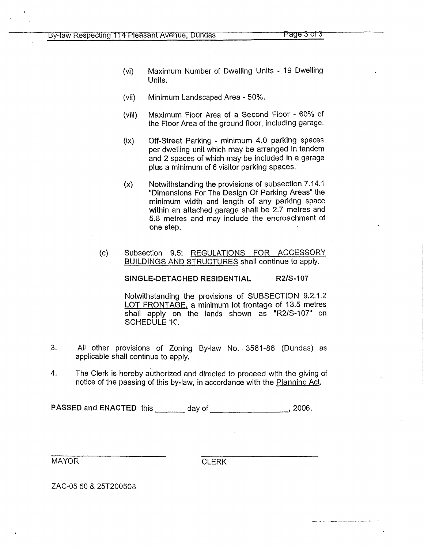- (vi) Maximum Number of Dwelling Units 19 Dwelling Units.
- (vii) Minimum Landscaped Area - 50%.
- (viii) Maximum Floor Area of a Second Floor - 60% of the Floor Area of the ground floor, including garage.
- (ix) Off-Street Parking - minimum 4.0 parking spaces per dwelling unit which may be arranged in tandem and 2 spaces of which may be included in a garage plus a minimum of 6 visitor parking spaces.
- (x) Notwithstanding the provisions of subsection 7.14.1 "Dimensions For The Design Of Parking Areas" the minimum width and length of any parking space within an attached garage shall be 2.7 metres and 5.8 metres and may include the encroachment of one step.

#### (c) Subsection 9.5: REGULATIONS FOR ACCESSORY BUILDINGS AND STRUCTURES shall continue to apply.

SINGLE-DETACHED RESIDENTIAL R2/S-107

Notwithstanding the provisions of SUBSECTION 9.2.1.2 LOT FRONTAGE, a minimum lot frontage of 13.5 metres shall apply on the lands shown as "R2/S-107" on SCHEDULE 'K'.

- 3. All other provisions of Zoning By-law No. 3581-86 (Dundas) as applicable shall continue to apply.
- 4. The Clerk is hereby authorized and directed to proceed with the giving of notice of the passing of this by-law, in accordance with the Planning Act.

PASSED and ENACTED this day of  $\frac{1}{2006}$ .

MAYOR CLERK

ZAC-05 50 & 25T200508